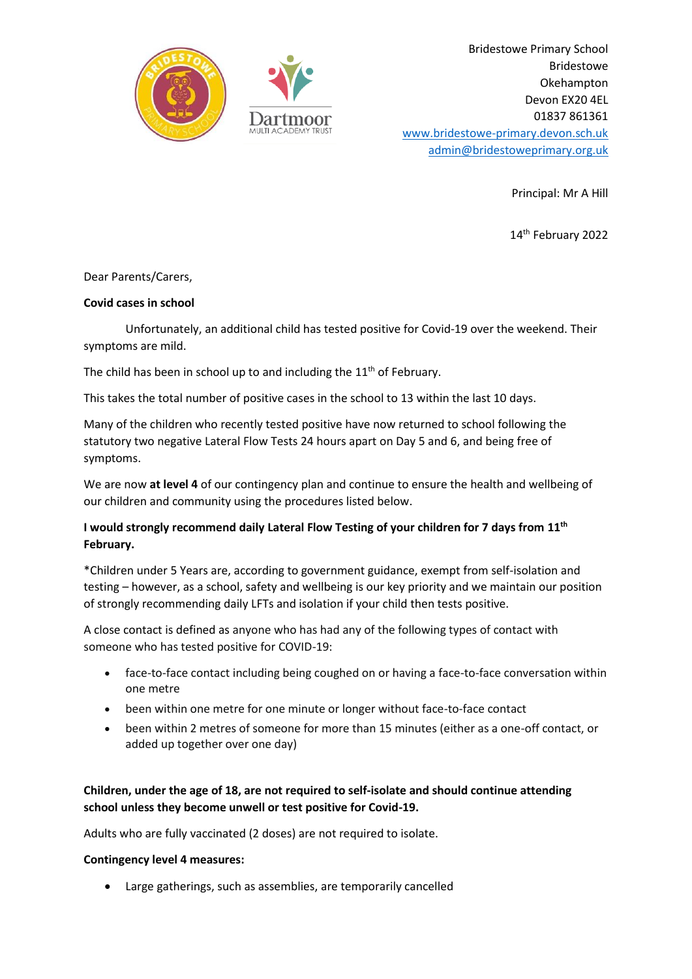

Bridestowe Primary School Bridestowe Okehampton Devon EX20 4EL 01837 861361 [www.bridestowe-primary.devon.sch.uk](http://www.bridestowe-primary.devon.sch.uk/) [admin@bridestoweprimary.org.uk](mailto:admin@bridestoweprimary.org.uk)

Principal: Mr A Hill

14 th February 2022

## Dear Parents/Carers,

#### **Covid cases in school**

Unfortunately, an additional child has tested positive for Covid-19 over the weekend. Their symptoms are mild.

The child has been in school up to and including the  $11<sup>th</sup>$  of February.

This takes the total number of positive cases in the school to 13 within the last 10 days.

Many of the children who recently tested positive have now returned to school following the statutory two negative Lateral Flow Tests 24 hours apart on Day 5 and 6, and being free of symptoms.

We are now **at level 4** of our contingency plan and continue to ensure the health and wellbeing of our children and community using the procedures listed below.

# **I would strongly recommend daily Lateral Flow Testing of your children for 7 days from 11 th February.**

\*Children under 5 Years are, according to government guidance, exempt from self-isolation and testing – however, as a school, safety and wellbeing is our key priority and we maintain our position of strongly recommending daily LFTs and isolation if your child then tests positive.

A close contact is defined as anyone who has had any of the following types of contact with someone who has tested positive for COVID-19:

- face-to-face contact including being coughed on or having a face-to-face conversation within one metre
- been within one metre for one minute or longer without face-to-face contact
- been within 2 metres of someone for more than 15 minutes (either as a one-off contact, or added up together over one day)

# **Children, under the age of 18, are not required to self-isolate and should continue attending school unless they become unwell or test positive for Covid-19.**

Adults who are fully vaccinated (2 doses) are not required to isolate.

#### **Contingency level 4 measures:**

• Large gatherings, such as assemblies, are temporarily cancelled